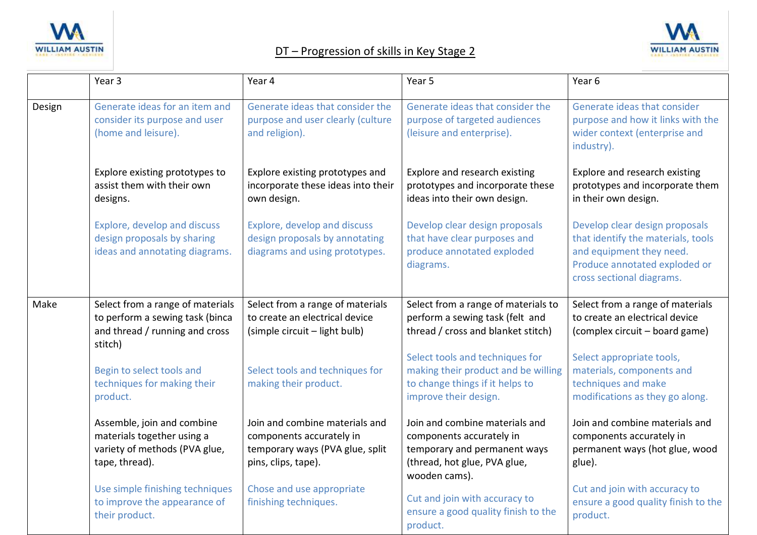





|        | Year 3                                                                                                           | Year 4                                                                                                               | Year 5                                                                                                                                      | Year 6                                                                                                                                                         |
|--------|------------------------------------------------------------------------------------------------------------------|----------------------------------------------------------------------------------------------------------------------|---------------------------------------------------------------------------------------------------------------------------------------------|----------------------------------------------------------------------------------------------------------------------------------------------------------------|
| Design | Generate ideas for an item and<br>consider its purpose and user<br>(home and leisure).                           | Generate ideas that consider the<br>purpose and user clearly (culture<br>and religion).                              | Generate ideas that consider the<br>purpose of targeted audiences<br>(leisure and enterprise).                                              | Generate ideas that consider<br>purpose and how it links with the<br>wider context (enterprise and<br>industry).                                               |
|        | Explore existing prototypes to<br>assist them with their own<br>designs.                                         | Explore existing prototypes and<br>incorporate these ideas into their<br>own design.                                 | Explore and research existing<br>prototypes and incorporate these<br>ideas into their own design.                                           | Explore and research existing<br>prototypes and incorporate them<br>in their own design.                                                                       |
|        | Explore, develop and discuss<br>design proposals by sharing<br>ideas and annotating diagrams.                    | Explore, develop and discuss<br>design proposals by annotating<br>diagrams and using prototypes.                     | Develop clear design proposals<br>that have clear purposes and<br>produce annotated exploded<br>diagrams.                                   | Develop clear design proposals<br>that identify the materials, tools<br>and equipment they need.<br>Produce annotated exploded or<br>cross sectional diagrams. |
| Make   | Select from a range of materials<br>to perform a sewing task (binca<br>and thread / running and cross<br>stitch) | Select from a range of materials<br>to create an electrical device<br>(simple circuit - light bulb)                  | Select from a range of materials to<br>perform a sewing task (felt and<br>thread / cross and blanket stitch)                                | Select from a range of materials<br>to create an electrical device<br>(complex circuit - board game)                                                           |
|        | Begin to select tools and<br>techniques for making their<br>product.                                             | Select tools and techniques for<br>making their product.                                                             | Select tools and techniques for<br>making their product and be willing<br>to change things if it helps to<br>improve their design.          | Select appropriate tools,<br>materials, components and<br>techniques and make<br>modifications as they go along.                                               |
|        | Assemble, join and combine<br>materials together using a<br>variety of methods (PVA glue,<br>tape, thread).      | Join and combine materials and<br>components accurately in<br>temporary ways (PVA glue, split<br>pins, clips, tape). | Join and combine materials and<br>components accurately in<br>temporary and permanent ways<br>(thread, hot glue, PVA glue,<br>wooden cams). | Join and combine materials and<br>components accurately in<br>permanent ways (hot glue, wood<br>glue).                                                         |
|        | Use simple finishing techniques<br>to improve the appearance of<br>their product.                                | Chose and use appropriate<br>finishing techniques.                                                                   | Cut and join with accuracy to<br>ensure a good quality finish to the<br>product.                                                            | Cut and join with accuracy to<br>ensure a good quality finish to the<br>product.                                                                               |